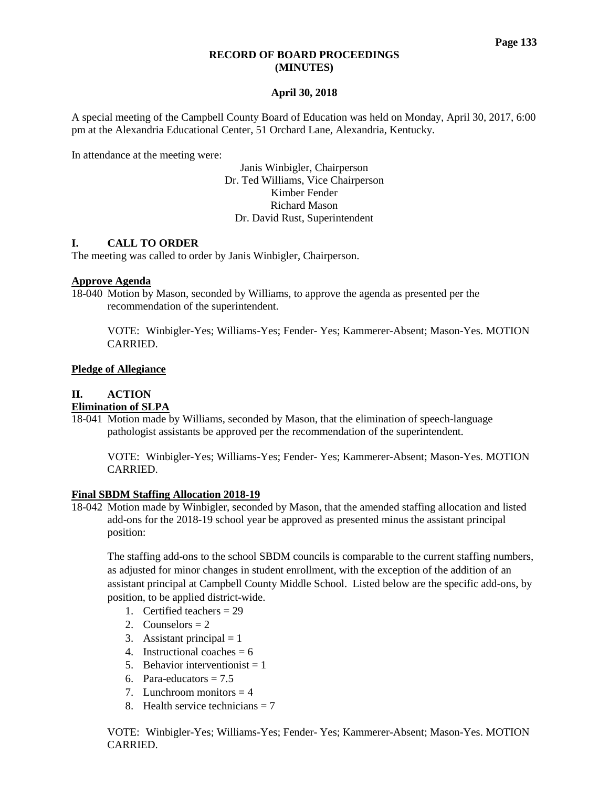### **RECORD OF BOARD PROCEEDINGS (MINUTES)**

# **April 30, 2018**

A special meeting of the Campbell County Board of Education was held on Monday, April 30, 2017, 6:00 pm at the Alexandria Educational Center, 51 Orchard Lane, Alexandria, Kentucky.

In attendance at the meeting were:

Janis Winbigler, Chairperson Dr. Ted Williams, Vice Chairperson Kimber Fender Richard Mason Dr. David Rust, Superintendent

### **I. CALL TO ORDER**

The meeting was called to order by Janis Winbigler, Chairperson.

### **Approve Agenda**

18-040 Motion by Mason, seconded by Williams, to approve the agenda as presented per the recommendation of the superintendent.

VOTE: Winbigler-Yes; Williams-Yes; Fender- Yes; Kammerer-Absent; Mason-Yes. MOTION CARRIED.

### **Pledge of Allegiance**

# **II. ACTION**

# **Elimination of SLPA**

18-041 Motion made by Williams, seconded by Mason, that the elimination of speech-language pathologist assistants be approved per the recommendation of the superintendent.

VOTE: Winbigler-Yes; Williams-Yes; Fender- Yes; Kammerer-Absent; Mason-Yes. MOTION CARRIED.

#### **Final SBDM Staffing Allocation 2018-19**

18-042 Motion made by Winbigler, seconded by Mason, that the amended staffing allocation and listed add-ons for the 2018-19 school year be approved as presented minus the assistant principal position:

The staffing add-ons to the school SBDM councils is comparable to the current staffing numbers, as adjusted for minor changes in student enrollment, with the exception of the addition of an assistant principal at Campbell County Middle School. Listed below are the specific add-ons, by position, to be applied district-wide.

- 1. Certified teachers  $= 29$
- 2. Counselors  $= 2$
- 3. Assistant principal  $= 1$
- 4. Instructional coaches  $= 6$
- 5. Behavior interventionist  $= 1$
- 6. Para-educators  $= 7.5$
- 7. Lunchroom monitors  $= 4$
- 8. Health service technicians  $= 7$

VOTE: Winbigler-Yes; Williams-Yes; Fender- Yes; Kammerer-Absent; Mason-Yes. MOTION CARRIED.